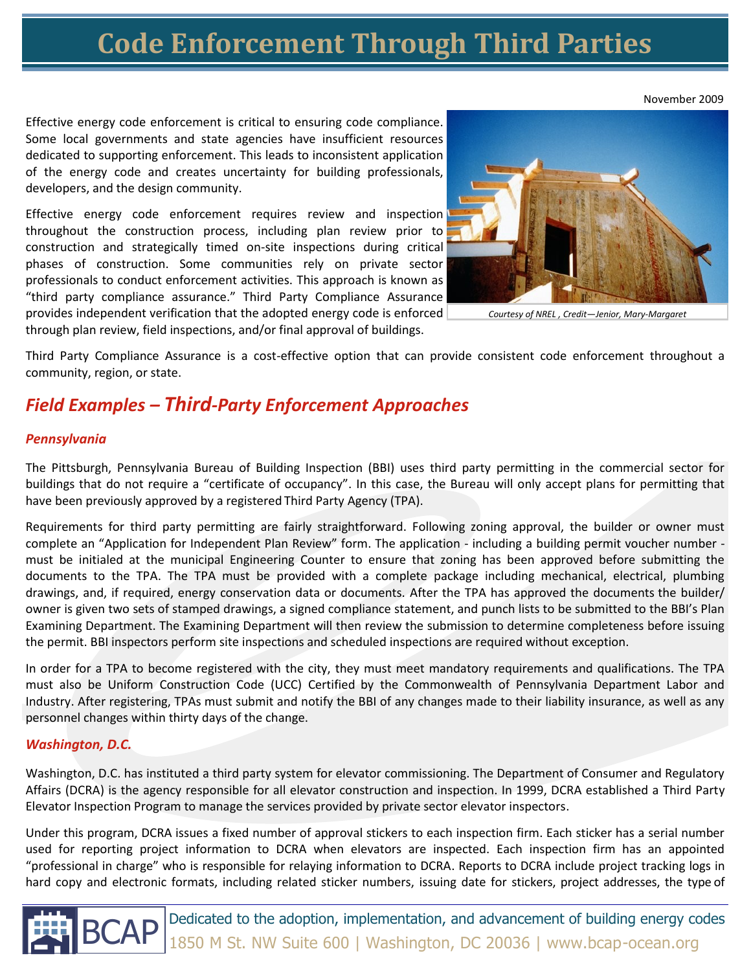## **Code Enforcement Through Third Parties**

Effective energy code enforcement is critical to ensuring code compliance. Some local governments and state agencies have insufficient resources dedicated to supporting enforcement. This leads to inconsistent application of the energy code and creates uncertainty for building professionals, developers, and the design community.

Effective energy code enforcement requires review and inspection throughout the construction process, including plan review prior to construction and strategically timed on-site inspections during critical phases of construction. Some communities rely on private sector professionals to conduct enforcement activities. This approach is known as "third party compliance assurance." Third Party Compliance Assurance provides independent verification that the adopted energy code is enforced through plan review, field inspections, and/or final approval of buildings.

*Courtesy of NREL , Credit—Jenior, Mary-Margaret*

Third Party Compliance Assurance is a cost-effective option that can provide consistent code enforcement throughout a community, region, or state.

### *Field Examples – Third-Party Enforcement Approaches*

#### *Pennsylvania*

The Pittsburgh, Pennsylvania Bureau of Building Inspection (BBI) uses third party permitting in the commercial sector for buildings that do not require a "certificate of occupancy". In this case, the Bureau will only accept plans for permitting that have been previously approved by a registered Third Party Agency (TPA).

Requirements for third party permitting are fairly straightforward. Following zoning approval, the builder or owner must complete an "Application for Independent Plan Review" form. The application - including a building permit voucher number must be initialed at the municipal Engineering Counter to ensure that zoning has been approved before submitting the documents to the TPA. The TPA must be provided with a complete package including mechanical, electrical, plumbing drawings, and, if required, energy conservation data or documents. After the TPA has approved the documents the builder/ owner is given two sets of stamped drawings, a signed compliance statement, and punch lists to be submitted to the BBI's Plan Examining Department. The Examining Department will then review the submission to determine completeness before issuing the permit. BBI inspectors perform site inspections and scheduled inspections are required without exception.

In order for a TPA to become registered with the city, they must meet mandatory requirements and qualifications. The TPA must also be Uniform Construction Code (UCC) Certified by the Commonwealth of Pennsylvania Department Labor and Industry. After registering, TPAs must submit and notify the BBI of any changes made to their liability insurance, as well as any personnel changes within thirty days of the change.

#### *Washington, D.C.*

Washington, D.C. has instituted a third party system for elevator commissioning. The Department of Consumer and Regulatory Affairs (DCRA) is the agency responsible for all elevator construction and inspection. In 1999, DCRA established a Third Party Elevator Inspection Program to manage the services provided by private sector elevator inspectors.

Under this program, DCRA issues a fixed number of approval stickers to each inspection firm. Each sticker has a serial number used for reporting project information to DCRA when elevators are inspected. Each inspection firm has an appointed "professional in charge" who is responsible for relaying information to DCRA. Reports to DCRA include project tracking logs in hard copy and electronic formats, including related sticker numbers, issuing date for stickers, project addresses, the type of

 $\text{BCAP}\left| \frac{\text{Dedicated to the adoption, implementation, and advancement of building energy codes}}{1850 \text{ M St. NW Suite 600}} \right|$  Washington, DC 20036 | www.bcap-ocean.org

November 2009